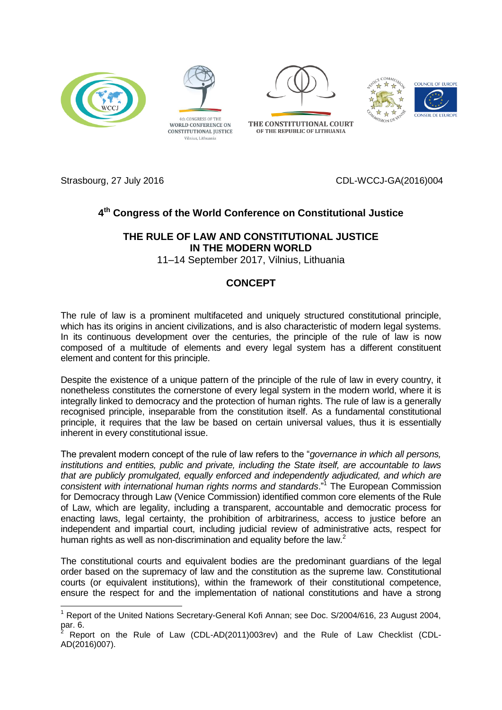



Vilnius, Lithuania









-

Strasbourg, 27 July 2016 CDL-WCCJ-GA(2016)004

## **4 th Congress of the World Conference on Constitutional Justice**

## **THE RULE OF LAW AND CONSTITUTIONAL JUSTICE IN THE MODERN WORLD**

11–14 September 2017, Vilnius, Lithuania

## **CONCEPT**

The rule of law is a prominent multifaceted and uniquely structured constitutional principle, which has its origins in ancient civilizations, and is also characteristic of modern legal systems. In its continuous development over the centuries, the principle of the rule of law is now composed of a multitude of elements and every legal system has a different constituent element and content for this principle.

Despite the existence of a unique pattern of the principle of the rule of law in every country, it nonetheless constitutes the cornerstone of every legal system in the modern world, where it is integrally linked to democracy and the protection of human rights. The rule of law is a generally recognised principle, inseparable from the constitution itself. As a fundamental constitutional principle, it requires that the law be based on certain universal values, thus it is essentially inherent in every constitutional issue.

The prevalent modern concept of the rule of law refers to the "*governance in which all persons, institutions and entities, public and private, including the State itself, are accountable to laws that are publicly promulgated, equally enforced and independently adjudicated, and which are consistent with international human rights norms and standards*."<sup>1</sup> The European Commission for Democracy through Law (Venice Commission) identified common core elements of the Rule of Law, which are legality, including a transparent, accountable and democratic process for enacting laws, legal certainty, the prohibition of arbitrariness, access to justice before an independent and impartial court, including judicial review of administrative acts, respect for human rights as well as non-discrimination and equality before the law.<sup>2</sup>

The constitutional courts and equivalent bodies are the predominant guardians of the legal order based on the supremacy of law and the constitution as the supreme law. Constitutional courts (or equivalent institutions), within the framework of their constitutional competence, ensure the respect for and the implementation of national constitutions and have a strong

<sup>&</sup>lt;sup>1</sup> Report of the United Nations Secretary-General Kofi Annan; see Doc. S/2004/616, 23 August 2004, par. 6.

<sup>2</sup> Report on the Rule of Law (CDL-AD(2011)003rev) and the Rule of Law Checklist (CDL-AD(2016)007).